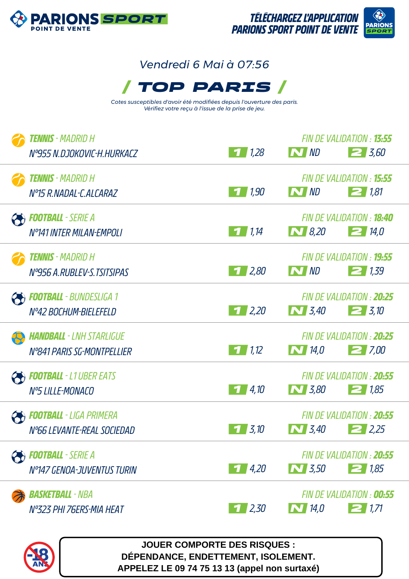

# */ TOP PARIS / Vendredi 6 Mai à 07:56*

*Cotes susceptibles d'avoir été modifiées depuis l'ouverture des paris. Vérifiez votre reçu à l'issue de la prise de jeu.*

| <b>Tennis</b> - Madrid H<br>N°955 N.DJOKOVIC-H.HURKACZ        | $\frac{1}{2}$ 1,28                                                 | N ND             | FIN DE VALIDATION : <b>13:55</b><br>$2\,3,60$   |
|---------------------------------------------------------------|--------------------------------------------------------------------|------------------|-------------------------------------------------|
| <b>TENNIS</b> - MADRID H<br>Nº15 R.NADAL-C.ALCARAZ            | $\begin{array}{c c} \hline \textbf{1} & \textbf{1,90} \end{array}$ | N ND             | FIN DE VALIDATION : 15:55<br>$\geq$ 1,81        |
| <b>Football</b> - Serie A<br><b>N°141 INTER MILAN-EMPOLI</b>  | 71,14                                                              | $\sum$ 8,20      | FIN DE VALIDATION : <b>18:40</b><br>$\geq$ 14,0 |
| <b>TENNIS</b> - MADRID H<br>Nº956 A.RUBLEV-S.TSITSIPAS        | $1 \, 2,80$                                                        | N ND             | FIN DE VALIDATION : <b>19:55</b><br>21,39       |
| <b>FOOTBALL</b> - BUNDESLIGA 1<br>N°42 BOCHUM-BIELEFELD       | 1/2,20                                                             | $\bf N$ 3,40     | FIN DE VALIDATION : 20:25<br>$2 \frac{3}{10}$   |
| <b>HANDBALL</b> - LNH STARLIGUE<br>N°841 PARIS SG-MONTPELLIER | $\overline{1}$ 1.12                                                | $\sum$ 14,0      | FIN DE VALIDATION : 20:25<br>27,00              |
| <b>FOOTBALL</b> - L1 UBER EATS<br>Nº5 LILLE-MONACO            | $\frac{4}{10}$                                                     | $\sum$ 3,80      | FIN DE VALIDATION : 20:55<br>$\geq$ 1,85        |
| <b>FOOTBALL</b> - LIGA PRIMERA<br>N°66 LEVANTE-REAL SOCIEDAD  | $\overline{3}$ , 10                                                | $\sum$ 3,40      | FIN DE VALIDATION : 20:55<br>2.25               |
| <b>Football</b> - Serie A<br>N°147 GENOA-JUVENTUS TURIN       | $1 \mid 4,20$                                                      | $\boxed{N}$ 3,50 | FIN DE VALIDATION : 20:55<br>$\geq$ 1,85        |
| <b>Basketball</b> - NBA<br>N°323 PHI 76ERS-MIA HEAT           | 1/2,30                                                             | $\bf N$ 14,0     | FIN DE VALIDATION : 00:55<br>21,71              |



**JOUER COMPORTE DES RISQUES : DÉPENDANCE, ENDETTEMENT, ISOLEMENT. APPELEZ LE 09 74 75 13 13 (appel non surtaxé)**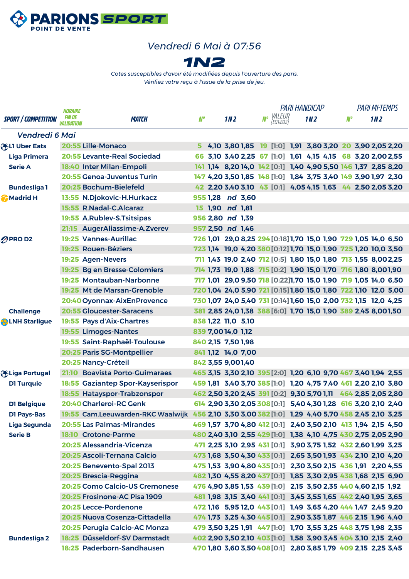

#### *Vendredi 6 Mai à 07:56*



*Cotes susceptibles d'avoir été modifiées depuis l'ouverture des paris. Vérifiez votre reçu à l'issue de la prise de jeu.*

|                            | HORAIRE                    |                                                                                                  |    |                    |                 |                    | <b>PARI HANDICAP</b>                                            |  |                 |  |           |                 | <b>PARI MI-TEMPS</b> |  |
|----------------------------|----------------------------|--------------------------------------------------------------------------------------------------|----|--------------------|-----------------|--------------------|-----------------------------------------------------------------|--|-----------------|--|-----------|-----------------|----------------------|--|
| <b>SPORT / COMPÉTITION</b> | <i>FIN DE</i><br>Alidation | <i><b>MATCH</b></i>                                                                              | N° |                    | 1N <sub>2</sub> |                    | Nº VALEUR<br>[EQ1:EQ2]                                          |  | 1N <sub>2</sub> |  | <b>N°</b> | 1N <sub>2</sub> |                      |  |
| Vendredi 6 Mai             |                            |                                                                                                  |    |                    |                 |                    |                                                                 |  |                 |  |           |                 |                      |  |
| <b>OBJET Uper Eats</b>     |                            | <b>20:55 Lille-Monaco</b>                                                                        | 5. |                    |                 |                    | 4,10 3,80 1,85 19 [1:0] 1,91 3,80 3,20 20 3,90 2,05 2,20        |  |                 |  |           |                 |                      |  |
| <b>Liga Primera</b>        |                            | 20:55 Levante-Real Sociedad                                                                      |    |                    |                 |                    | 66 3,10 3,40 2,25 67 [1:0] 1,61 4,15 4,15 68 3,20 2,00 2,55     |  |                 |  |           |                 |                      |  |
| <b>Serie A</b>             |                            | 18:40 Inter Milan-Empoli                                                                         |    |                    |                 |                    | 141 1,14 8,20 14,0 142 [0:1] 1,40 4,90 5,50 146 1,37 2,85 8,20  |  |                 |  |           |                 |                      |  |
|                            |                            | 20:55 Genoa-Juventus Turin                                                                       |    |                    |                 |                    | 147 4,20 3,50 1,85 148 [1:0] 1,84 3,75 3,40 149 3,90 1,97 2,30  |  |                 |  |           |                 |                      |  |
| <b>Bundesliga1</b>         |                            | 20:25 Bochum-Bielefeld                                                                           |    |                    |                 |                    | 42 2,20 3,40 3,10 43 [0:1] 4,05 4,15 1,63 44 2,50 2,05 3,20     |  |                 |  |           |                 |                      |  |
| Madrid H                   |                            | 13:55 N.Djokovic-H.Hurkacz                                                                       |    |                    |                 | 955 1.28 nd 3.60   |                                                                 |  |                 |  |           |                 |                      |  |
|                            |                            | 15:55 R.Nadal-C.Alcaraz                                                                          |    | 15 1,90 nd 1,81    |                 |                    |                                                                 |  |                 |  |           |                 |                      |  |
|                            |                            | 19:55 A.Rublev-S.Tsitsipas                                                                       |    | 956 2,80 nd 1,39   |                 |                    |                                                                 |  |                 |  |           |                 |                      |  |
|                            |                            | 21:15 AugerAliassime-A.Zverev                                                                    |    | 957 2,50 nd 1,46   |                 |                    |                                                                 |  |                 |  |           |                 |                      |  |
| <b>OPROD2</b>              |                            | <b>19:25 Vannes-Aurillac</b>                                                                     |    |                    |                 |                    | 726 1,01 29,0 8,25 294 [0:18] 1,70 15,0 1,90 729 1,05 14,0 6,50 |  |                 |  |           |                 |                      |  |
|                            |                            | 19:25 Rouen-Béziers                                                                              |    |                    |                 |                    | 723 1,14 19,0 4,20 380 [0:12] 1,70 15,0 1,90 725 1,20 10,0 3,50 |  |                 |  |           |                 |                      |  |
|                            |                            | 19:25 Agen-Nevers                                                                                |    |                    |                 |                    | 711 1,43 19,0 2,40 712 [0:5] 1,80 15,0 1,80 713 1,55 8,002,25   |  |                 |  |           |                 |                      |  |
|                            |                            | 19:25 Bg en Bresse-Colomiers                                                                     |    |                    |                 |                    | 714 1,73 19,0 1,88 715 [0:2] 1,90 15,0 1,70 716 1,80 8,001,90   |  |                 |  |           |                 |                      |  |
|                            |                            | 19:25 Montauban-Narbonne                                                                         |    |                    |                 |                    | 717 1,01 29,0 9,50 718 [0:22]1,70 15,0 1,90 719 1,05 14,0 6,50  |  |                 |  |           |                 |                      |  |
|                            |                            | 19:25 Mt de Marsan-Grenoble                                                                      |    |                    |                 |                    | 720 1,04 24,0 5,90 721 [0:15] 1,80 15,0 1,80 722 1,10 12,0 5,00 |  |                 |  |           |                 |                      |  |
|                            |                            | 20:40 Oyonnax-AixEnProvence                                                                      |    |                    |                 |                    | 730 1,07 24,0 5,40 731 [0:14] 1,60 15,0 2,00 732 1,15 12,0 4,25 |  |                 |  |           |                 |                      |  |
| <b>Challenge</b>           |                            | <b>20:55 Gloucester-Saracens</b>                                                                 |    |                    |                 |                    | 381 2,85 24,0 1,38 388 [6:0] 1,70 15,0 1,90 389 2,45 8,001,50   |  |                 |  |           |                 |                      |  |
| <b>OLNH Starligue</b>      |                            | 19:55 Pays d'Aix-Chartres                                                                        |    | 838 1,22 11,0 5,10 |                 |                    |                                                                 |  |                 |  |           |                 |                      |  |
|                            |                            | 19:55 Limoges-Nantes                                                                             |    | 839 7,00 14,0 1,12 |                 |                    |                                                                 |  |                 |  |           |                 |                      |  |
|                            |                            | 19:55 Saint-Raphaël-Toulouse                                                                     |    | 840 2,15 7,50 1,98 |                 |                    |                                                                 |  |                 |  |           |                 |                      |  |
|                            |                            | 20:25 Paris SG-Montpellier                                                                       |    |                    |                 | 841 1,12 14,0 7,00 |                                                                 |  |                 |  |           |                 |                      |  |
|                            |                            | 20:25 Nancy-Créteil                                                                              |    | 842 3,55 9,001,40  |                 |                    |                                                                 |  |                 |  |           |                 |                      |  |
| Liga Portugal              |                            | 21:10 Boavista Porto-Guimaraes                                                                   |    |                    |                 |                    | 465 3,15 3,30 2,10 395 [2:0] 1,20 6,10 9,70 467 3,40 1,94 2,55  |  |                 |  |           |                 |                      |  |
| <b>D1 Turquie</b>          |                            | 18:55 Gaziantep Spor-Kayserispor                                                                 |    |                    |                 |                    | 459 1,81 3,40 3,70 385 [1:0] 1,20 4,75 7,40 461 2,20 2,10 3,80  |  |                 |  |           |                 |                      |  |
|                            |                            | 18:55 Hatayspor-Trabzonspor                                                                      |    |                    |                 |                    | 462 2,50 3,20 2,45 391 [0:2] 9,30 5,70 1,11 464 2,85 2,05 2,80  |  |                 |  |           |                 |                      |  |
| <b>D1 Belgique</b>         |                            | <b>20:40 Charleroi-RC Genk</b>                                                                   |    |                    |                 |                    | 614 2,90 3,30 2,05 308 [0:1] 5,40 4,30 1,28 616 3,20 2,10 2,40  |  |                 |  |           |                 |                      |  |
| <b>D1 Pays-Bas</b>         |                            | 19:55 Cam.Leeuwarden-RKC Waalwijk 456 2,10 3,30 3,00 382 [1:0] 1,29 4,40 5,70 458 2,45 2,10 3,25 |    |                    |                 |                    |                                                                 |  |                 |  |           |                 |                      |  |
| <b>Liga Segunda</b>        |                            | <b>20:55 Las Palmas-Mirandes</b>                                                                 |    |                    |                 |                    | 469 1,57 3,70 4,80 412 [0:1] 2,40 3,50 2,10 413 1,94 2,15 4,50  |  |                 |  |           |                 |                      |  |
| <b>Serie B</b>             |                            | 18:10 Crotone-Parme                                                                              |    |                    |                 |                    | 480 2,40 3,10 2,55 429 [1:0] 1,38 4,10 4,75 430 2,75 2,05 2,90  |  |                 |  |           |                 |                      |  |
|                            |                            | 20:25 Alessandria-Vicenza                                                                        |    |                    |                 |                    | 471 2,25 3,10 2,95 431 [0:1] 3,90 3,75 1,52 432 2,60 1,99 3,25  |  |                 |  |           |                 |                      |  |
|                            |                            | 20:25 Ascoli-Ternana Calcio                                                                      |    |                    |                 |                    | 473 1,68 3,50 4,30 433 [0:1] 2,65 3,50 1,93 434 2,10 2,10 4,20  |  |                 |  |           |                 |                      |  |
|                            |                            | 20:25 Benevento-Spal 2013                                                                        |    |                    |                 |                    | 475 1,53 3,90 4,80 435 [0:1] 2,30 3,50 2,15 436 1,91 2,20 4,55  |  |                 |  |           |                 |                      |  |
|                            |                            | 20:25 Brescia-Reggina                                                                            |    |                    |                 |                    | 482 1,30 4,55 8,20 437 [0:1] 1,85 3,30 2,95 438 1,68 2,15 6,90  |  |                 |  |           |                 |                      |  |
|                            |                            | 20:25 Como Calcio-US Cremonese                                                                   |    |                    |                 |                    | 476 4,90 3,85 1,53 439 [1:0] 2,15 3,50 2,35 440 4,60 2,15 1,92  |  |                 |  |           |                 |                      |  |
|                            |                            | 20:25 Frosinone-AC Pisa 1909                                                                     |    |                    |                 |                    | 481 1,98 3,15 3,40 441 [0:1] 3,45 3,55 1,65 442 2,40 1,95 3,65  |  |                 |  |           |                 |                      |  |
|                            |                            | 20:25 Lecce-Pordenone                                                                            |    |                    |                 |                    | 472 1,16 5,95 12,0 443 [0:1] 1,49 3,65 4,20 444 1,47 2,45 9,20  |  |                 |  |           |                 |                      |  |
|                            |                            | 20:25 Nuova Cosenza-Cittadella                                                                   |    |                    |                 |                    | 474 1,73 3,25 4,30 445 [0:1] 2,90 3,35 1,87 446 2,15 1,96 4,40  |  |                 |  |           |                 |                      |  |
|                            |                            | 20:25 Perugia Calcio-AC Monza                                                                    |    |                    |                 |                    | 479 3,50 3,25 1,91 447 [1:0] 1,70 3,55 3,25 448 3,75 1,98 2,35  |  |                 |  |           |                 |                      |  |
| <b>Bundesliga 2</b>        |                            | 18:25 Düsseldorf-SV Darmstadt                                                                    |    |                    |                 |                    | 402 2,90 3,50 2,10 403 [1:0] 1,58 3,90 3,45 404 3,10 2,15 2,40  |  |                 |  |           |                 |                      |  |
|                            |                            | 18:25 Paderborn-Sandhausen                                                                       |    |                    |                 |                    | 470 1,80 3,60 3,50 408 [0:1] 2,80 3,85 1,79 409 2,15 2,25 3,45  |  |                 |  |           |                 |                      |  |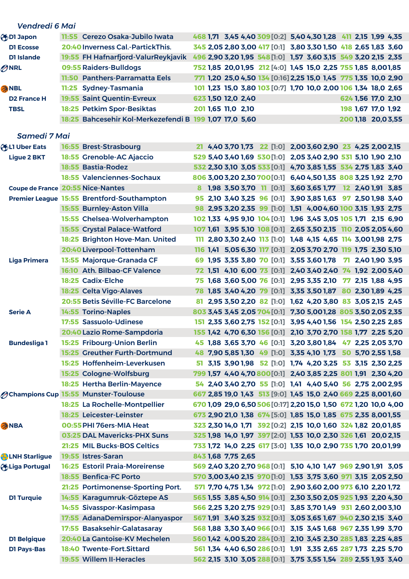| Vendredi 6 Mai                           |       |                                                              |  |                    |                                                                                                                                  |  |                    |  |  |
|------------------------------------------|-------|--------------------------------------------------------------|--|--------------------|----------------------------------------------------------------------------------------------------------------------------------|--|--------------------|--|--|
| OI Japon                                 |       | 11:55 Cerezo Osaka-Jubilo Iwata                              |  |                    | 468 1,71 3,45 4,40 309 [0:2] 5,40 4,30 1,28 411 2,15 1,99 4,35                                                                   |  |                    |  |  |
| <b>D1 Ecosse</b>                         |       | 20:40 Inverness Cal.-PartickThis.                            |  |                    | 345 2,05 2,80 3,00 417 [0:1] 3,80 3,30 1,50 418 2,65 1,83 3,60                                                                   |  |                    |  |  |
| D1 Islande                               |       | 19:55 FH Hafnarfjord-ValurReykjavik                          |  |                    | 496 2,90 3,20 1,95 548 [1:0] 1,57 3,60 3,15 549 3,20 2,15 2,35                                                                   |  |                    |  |  |
| ONRL                                     |       | 09:55 Raiders-Bulldogs                                       |  |                    | 752 1,85 20,01,95 212 [4:0] 1,45 15,0 2,25 755 1,85 8,001,85                                                                     |  |                    |  |  |
|                                          |       | 11:50 Panthers-Parramatta Eels                               |  |                    | 771 1,20 25,0 4,50 134 [0:16] 2,25 15,0 1,45 775 1,35 10,0 2,90                                                                  |  |                    |  |  |
| <b>ANBL</b>                              | 11:25 | <b>Sydney-Tasmania</b>                                       |  |                    | 101 1,23 15,0 3,80 103 [0:7] 1,70 10,0 2,00 106 1,34 18,0 2,65                                                                   |  |                    |  |  |
| <b>D2 France H</b>                       |       | <b>19:55 Saint Quentin-Evreux</b>                            |  | 623 1,50 12,0 2,40 |                                                                                                                                  |  | 624 1,56 17,0 2,10 |  |  |
| <b>TBSL</b>                              |       | 18:25 Petkim Spor-Besiktas                                   |  | 201 1,65 11,0 2,10 |                                                                                                                                  |  | 198 1,67 17,0 1,92 |  |  |
|                                          |       | 18:25 Bahcesehir Kol-Merkezefendi B 199 1,07 17,0 5,60       |  |                    |                                                                                                                                  |  | 200 1,18 20,0 3,55 |  |  |
|                                          |       |                                                              |  |                    |                                                                                                                                  |  |                    |  |  |
| <b>Samedi 7 Mai</b>                      |       |                                                              |  |                    |                                                                                                                                  |  |                    |  |  |
| <b>ALI Uber Eats</b>                     |       | 16:55 Brest-Strasbourg                                       |  |                    | 21 4,40 3,70 1,73 22 [1:0] 2,00 3,60 2,90 23 4,25 2,00 2,15                                                                      |  |                    |  |  |
| <b>Ligue 2 BKT</b>                       |       | 18:55 Grenoble-AC Ajaccio                                    |  |                    | 529 5,40 3,40 1,69 530 [1:0] 2,05 3,40 2,90 531 5,10 1,90 2,10                                                                   |  |                    |  |  |
|                                          |       | 18:55 Bastia-Rodez                                           |  |                    | 532 2,30 3,10 3,05 533 [0:1] 4,70 3,85 1,55 534 2,75 1,83 3,40                                                                   |  |                    |  |  |
|                                          |       | <b>18:55 Valenciennes-Sochaux</b>                            |  |                    | 806 3,00 3,20 2,30 700 [0:1] 6,40 4,50 1,35 808 3,25 1,92 2,70                                                                   |  |                    |  |  |
| <b>Coupe de France 20:55 Nice-Nantes</b> |       |                                                              |  |                    | 8 1,98 3,50 3,70 11 [0:1] 3,60 3,65 1,77 12 2,40 1,91 3,85                                                                       |  |                    |  |  |
|                                          |       | Premier League 15:55 Brentford-Southampton                   |  |                    | 95 2,10 3,40 3,25 96 [0:1] 3,90 3,85 1,63 97 2,50 1,98 3,40                                                                      |  |                    |  |  |
|                                          |       | 15:55 Burnley-Aston Villa                                    |  |                    | 98 2,95 3,20 2,35 99 [1:0] 1,51 4,00 4,60 100 3,15 1,93 2,75                                                                     |  |                    |  |  |
|                                          |       | 15:55 Chelsea-Wolverhampton                                  |  |                    | 102 1,33 4,95 9,10 104 [0:1] 1,96 3,45 3,05 105 1,71 2,15 6,90                                                                   |  |                    |  |  |
|                                          |       | 15:55 Crystal Palace-Watford                                 |  |                    | 107 1,61 3,95 5,10 108 [0:1] 2,65 3,50 2,15 110 2,05 2,05 4,60                                                                   |  |                    |  |  |
|                                          |       | 18:25 Brighton Hove-Man. United                              |  |                    | 111 2,80 3,30 2,40 113 [1:0] 1,48 4,15 4,65 114 3,001,98 2,75                                                                    |  |                    |  |  |
|                                          |       | 20:40 Liverpool-Tottenham                                    |  |                    | 116 1,41 5,05 6,30 117 [0:1] 2,05 3,70 2,70 119 1,75 2,30 5,10                                                                   |  |                    |  |  |
| <b>Liga Primera</b>                      |       | 13:55 Majorque-Granada CF                                    |  |                    | 69 1,95 3,35 3,80 70 [0:1] 3,55 3,60 1,78 7 2,40 1,90 3,95                                                                       |  |                    |  |  |
|                                          |       | 16:10 Ath. Bilbao-CF Valence                                 |  |                    | 72 1,51 4,10 6,00 73 [0:1] 2,40 3,40 2,40 74 1,92 2,00 5,40                                                                      |  |                    |  |  |
|                                          |       | 18:25 Cadix-Elche                                            |  |                    | 75 1,68 3,60 5,00 76 [0:1] 2,95 3,35 2,10 77 2,15 1,88 4,95                                                                      |  |                    |  |  |
|                                          |       | 18:25 Celta Vigo-Alaves                                      |  |                    | 78 1,85 3,40 4,20 79 [0:1] 3,35 3,50 1,87 80 2,30 1,89 4,25                                                                      |  |                    |  |  |
|                                          |       | 20:55 Betis Séville-FC Barcelone                             |  |                    | 81 2,95 3,50 2,20 82 [1:0] 1,62 4,20 3,80 83 3,05 2,15 2,45                                                                      |  |                    |  |  |
| <b>Serie A</b>                           |       | 14:55 Torino-Naples                                          |  |                    | 803 3,45 3,45 2,05 704 [0:1] 7,30 5,001,28 805 3,50 2,05 2,35                                                                    |  |                    |  |  |
|                                          |       | 17:55 Sassuolo-Udinese                                       |  |                    | 151 2,35 3,60 2,75 152 [0:1] 3,95 4,40 1,56 154 2,50 2,25 2,85                                                                   |  |                    |  |  |
|                                          |       | 20:40 Lazio Rome-Sampdoria                                   |  |                    | 155 1,42 4,70 6,30 156 [0:1] 2,10 3,70 2,70 158 1,77 2,25 5,20                                                                   |  |                    |  |  |
| <b>Bundesliga1</b>                       |       | 15:25 Fribourg-Union Berlin                                  |  |                    | 45 1,88 3,65 3,70 46 [0:1] 3,20 3,80 1,84 47 2,25 2,05 3,70                                                                      |  |                    |  |  |
|                                          |       | 15:25 Greuther Furth-Dortmund                                |  |                    | 48 7,90 5,85 1,30 49 [1:0] 3,35 4,10 1,73 50 5,70 2,55 1,58                                                                      |  |                    |  |  |
|                                          |       | 15:25 Hoffenheim-Leverkusen                                  |  |                    | 51 3,15 3,90 1,98 52 [1:0] 1,74 4,20 3,25 53 3,15 2,30 2,25                                                                      |  |                    |  |  |
|                                          |       | 15:25 Cologne-Wolfsburg                                      |  |                    | 799 1,57 4,40 4,70 800 [0:1] 2,40 3,85 2,25 801 1,91 2,30 4,20                                                                   |  |                    |  |  |
|                                          |       | 18:25 Hertha Berlin-Mayence                                  |  |                    | 54 2,40 3,40 2,70 55 [1:0] 1,41 4,40 5,40 56 2,75 2,00 2,95                                                                      |  |                    |  |  |
|                                          |       | <b>Ochampions Cup 15:55 Munster-Toulouse</b>                 |  |                    | 667 2,85 19,0 1,43 513 [9:0] 1,45 15,0 2,40 669 2,25 8,001,60                                                                    |  |                    |  |  |
|                                          |       | 18:25 La Rochelle-Montpellier                                |  |                    | 670 1,09 29,0 6,50 506 [0:17] 2,20 15,0 1,50 672 1,20 10,0 4,00                                                                  |  |                    |  |  |
|                                          |       | 18:25 Leicester-Leinster                                     |  |                    | 673 2,90 21,0 1,38 674 [5:0] 1,85 15,0 1,85 675 2,35 8,001,55                                                                    |  |                    |  |  |
| <b>ANBA</b>                              |       | 00:55 PHI 76ers-MIA Heat                                     |  |                    | 323 2,30 14,0 1,71 392 [0:2] 2,15 10,0 1,60 324 1,82 20,01,85                                                                    |  |                    |  |  |
|                                          |       | 03:25 DAL Mavericks-PHX Suns                                 |  |                    | 325 1,98 14,0 1,97 397 [2:0] 1,53 10,0 2,30 326 1,61 20,0 2,15                                                                   |  |                    |  |  |
|                                          |       | 21:25 MIL Bucks-BOS Celtics                                  |  |                    | 733 1,72 14,0 2,25 617 [3:0] 1,35 10,0 2,90 735 1,70 20,01,99                                                                    |  |                    |  |  |
| <b>Q</b> LNH Starligue                   |       | 19:55 Istres-Saran<br><b>16:25 Estoril Praia-Moreirense</b>  |  | 843 1,68 7,75 2,65 |                                                                                                                                  |  |                    |  |  |
| Liga Portugal                            |       |                                                              |  |                    | 569 2,40 3,20 2,70 968 [0:1] 5,10 4,10 1,47 969 2,90 1,91 3,05                                                                   |  |                    |  |  |
|                                          |       | 18:55 Benfica-FC Porto                                       |  |                    | 570 3,00 3,40 2,15 970 [1:0] 1,53 3,75 3,60 971 3,15 2,05 2,50                                                                   |  |                    |  |  |
|                                          |       | 21:25 Portimonense-Sporting Port.                            |  |                    | 571 7,70 4,75 1,34 972 [1:0] 2,90 3,60 2,00 973 6,10 2,20 1,72                                                                   |  |                    |  |  |
| <b>D1 Turquie</b>                        |       | 14:55 Karagumruk-Göztepe AS                                  |  |                    | 565 1,55 3,85 4,50 914 [0:1] 2,30 3,50 2,05 925 1,93 2,20 4,30                                                                   |  |                    |  |  |
|                                          |       | 14:55 Sivasspor-Kasimpasa<br>17:55 AdanaDemirspor-Alanyaspor |  |                    | 566 2,25 3,20 2,75 929 [0:1] 3,85 3,70 1,49 931 2,60 2,00 3,10                                                                   |  |                    |  |  |
|                                          |       | 17:55 Basaksehir-Galatasaray                                 |  |                    | 567 1,91 3,40 3,25 932 [0:1] 3,05 3,65 1,67 940 2,30 2,15 3,40<br>568 1,88 3,30 3,40 966 [0:1] 3,15 3,45 1,68 967 2,35 1,99 3,70 |  |                    |  |  |
|                                          |       | 20:40 La Gantoise-KV Mechelen                                |  |                    | 560 1,42 4,00 5,20 284 [0:1] 2,10 3,45 2,30 285 1,83 2,25 4,85                                                                   |  |                    |  |  |
| <b>D1 Belgique</b>                       |       | 18:40 Twente-Fort.Sittard                                    |  |                    | 561 1,34 4,40 6,50 286 [0:1] 1,91 3,35 2,65 287 1,73 2,25 5,70                                                                   |  |                    |  |  |
| <b>D1 Pays-Bas</b>                       |       | 19:55 Willem II-Heracles                                     |  |                    | 562 2,15 3,10 3,05 288 [0:1] 3,75 3,55 1,54 289 2,55 1,93 3,40                                                                   |  |                    |  |  |
|                                          |       |                                                              |  |                    |                                                                                                                                  |  |                    |  |  |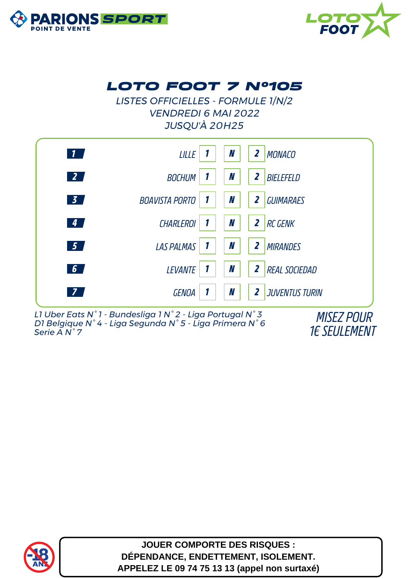



### *LOTO FOOT 7 N°105*

*LISTES OFFICIELLES - FORMULE 1/N/2 VENDREDI 6 MAI 2022 JUSQU'À 20H25*



*L1 Uber Eats N° 1 - Bundesliga 1 N° 2 - Liga Portugal N° 3 D1 Belgique N° 4 - Liga Segunda N° 5 - Liga Primera N° 6 Serie A N° 7*

*MISEZ POUR 1€ SEULEMENT*



**JOUER COMPORTE DES RISQUES : DÉPENDANCE, ENDETTEMENT, ISOLEMENT. APPELEZ LE 09 74 75 13 13 (appel non surtaxé)**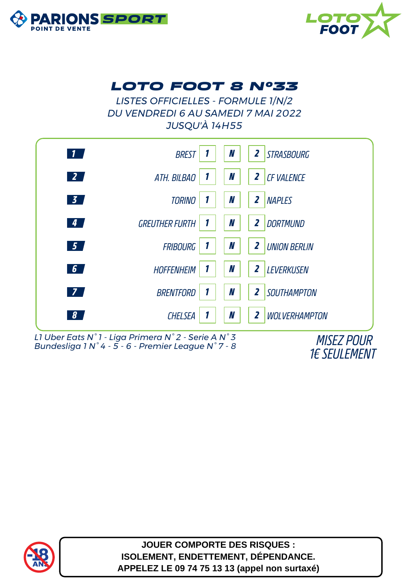



### *LOTO FOOT 8 N°33*

*LISTES OFFICIELLES - FORMULE 1/N/2 DU VENDREDI 6 AU SAMEDI 7 MAI 2022 JUSQU'À 14H55*



*L1 Uber Eats N° 1 - Liga Primera N° 2 - Serie A N° 3 Bundesliga 1 N° 4 - 5 - 6 - Premier League N° 7 - 8 MISEZ POUR*

*1€ SEULEMENT*



**JOUER COMPORTE DES RISQUES : ISOLEMENT, ENDETTEMENT, DÉPENDANCE. APPELEZ LE 09 74 75 13 13 (appel non surtaxé)**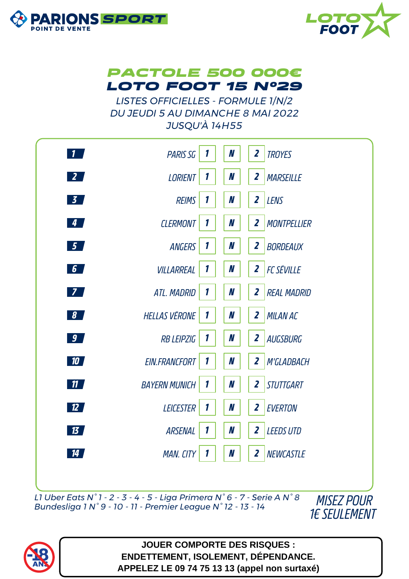





*LISTES OFFICIELLES - FORMULE 1/N/2 DU JEUDI 5 AU DIMANCHE 8 MAI 2022 JUSQU'À 14H55*



*L1 Uber Eats N° 1 - 2 - 3 - 4 - 5 - Liga Primera N° 6 - 7 - Serie A N° 8 Bundesliga 1 N° 9 - 10 - 11 - Premier League N° 12 - 13 - 14 MISEZ POUR*





**JOUER COMPORTE DES RISQUES : ENDETTEMENT, ISOLEMENT, DÉPENDANCE. APPELEZ LE 09 74 75 13 13 (appel non surtaxé)**